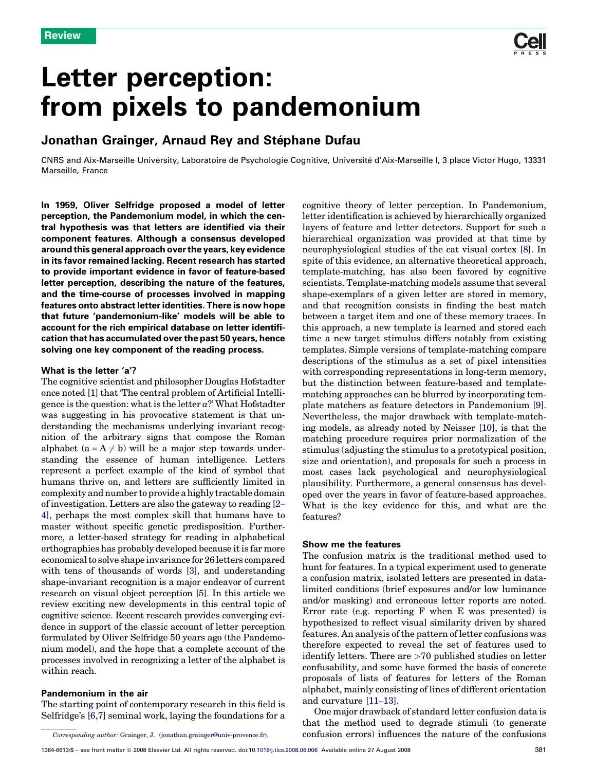

# Letter perception: from pixels to pandemonium

## Jonathan Grainger, Arnaud Rey and Stéphane Dufau

CNRS and Aix-Marseille University, Laboratoire de Psychologie Cognitive, Universite´ d'Aix-Marseille I, 3 place Victor Hugo, 13331 Marseille, France

In 1959, Oliver Selfridge proposed a model of letter perception, the Pandemonium model, in which the central hypothesis was that letters are identified via their component features. Although a consensus developed around this general approach over the years, key evidence in its favor remained lacking. Recent research has started to provide important evidence in favor of feature-based letter perception, describing the nature of the features, and the time-course of processes involved in mapping features onto abstract letter identities. There is now hope that future 'pandemonium-like' models will be able to account for the rich empirical database on letter identification that has accumulated over the past 50 years, hence solving one key component of the reading process.

#### What is the letter 'a'?

The cognitive scientist and philosopher Douglas Hofstadter once noted [\[1\]](#page-5-0) that 'The central problem of Artificial Intelligence is the question: what is the letter  $a$ ?' What Hofstadter was suggesting in his provocative statement is that understanding the mechanisms underlying invariant recognition of the arbitrary signs that compose the Roman alphabet  $(a = A \neq b)$  will be a major step towards understanding the essence of human intelligence. Letters represent a perfect example of the kind of symbol that humans thrive on, and letters are sufficiently limited in complexity and number to provide a highly tractable domain of investigation. Letters are also the gateway to reading [\[2](#page-5-0)– [4\],](#page-5-0) perhaps the most complex skill that humans have to master without specific genetic predisposition. Furthermore, a letter-based strategy for reading in alphabetical orthographies has probably developed because it is far more economical to solve shape invariance for 26 letters compared with tens of thousands of words [\[3\]](#page-5-0), and understanding shape-invariant recognition is a major endeavor of current research on visual object perception [\[5\].](#page-5-0) In this article we review exciting new developments in this central topic of cognitive science. Recent research provides converging evidence in support of the classic account of letter perception formulated by Oliver Selfridge 50 years ago (the Pandemonium model), and the hope that a complete account of the processes involved in recognizing a letter of the alphabet is within reach.

### Pandemonium in the air

The starting point of contemporary research in this field is Selfridge's [\[6,7\]](#page-5-0) seminal work, laying the foundations for a

Corresponding author: Grainger, J. [\(jonathan.grainger@univ-provence.fr\)](mailto:jonathan.grainger@univ-provence.fr).

cognitive theory of letter perception. In Pandemonium, letter identification is achieved by hierarchically organized layers of feature and letter detectors. Support for such a hierarchical organization was provided at that time by neurophysiological studies of the cat visual cortex [\[8\].](#page-5-0) In spite of this evidence, an alternative theoretical approach, template-matching, has also been favored by cognitive scientists. Template-matching models assume that several shape-exemplars of a given letter are stored in memory, and that recognition consists in finding the best match between a target item and one of these memory traces. In this approach, a new template is learned and stored each time a new target stimulus differs notably from existing templates. Simple versions of template-matching compare descriptions of the stimulus as a set of pixel intensities with corresponding representations in long-term memory, but the distinction between feature-based and templatematching approaches can be blurred by incorporating template matchers as feature detectors in Pandemonium [\[9\]](#page-5-0). Nevertheless, the major drawback with template-matching models, as already noted by Neisser [\[10\],](#page-5-0) is that the matching procedure requires prior normalization of the stimulus (adjusting the stimulus to a prototypical position, size and orientation), and proposals for such a process in most cases lack psychological and neurophysiological plausibility. Furthermore, a general consensus has developed over the years in favor of feature-based approaches. What is the key evidence for this, and what are the features?

#### Show me the features

The confusion matrix is the traditional method used to hunt for features. In a typical experiment used to generate a confusion matrix, isolated letters are presented in datalimited conditions (brief exposures and/or low luminance and/or masking) and erroneous letter reports are noted. Error rate (e.g. reporting F when E was presented) is hypothesized to reflect visual similarity driven by shared features. An analysis of the pattern of letter confusions was therefore expected to reveal the set of features used to identify letters. There are >70 published studies on letter confusability, and some have formed the basis of concrete proposals of lists of features for letters of the Roman alphabet, mainly consisting of lines of different orientation and curvature [\[11](#page-5-0)–13].

One major drawback of standard letter confusion data is that the method used to degrade stimuli (to generate confusion errors) influences the nature of the confusions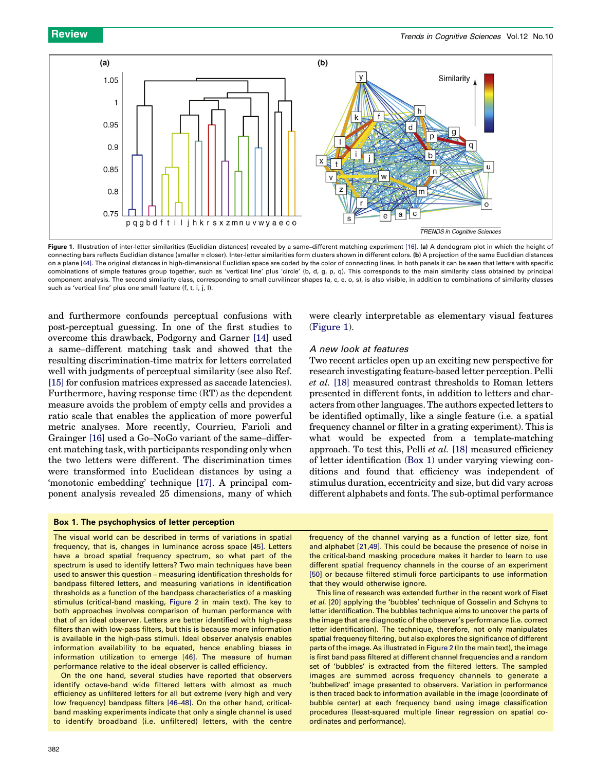<span id="page-1-0"></span>

Figure 1. Illustration of inter-letter similarities (Euclidian distances) revealed by a same-different matching experiment [\[16\].](#page-5-0) (a) A dendogram plot in which the height of connecting bars reflects Euclidian distance (smaller = closer). Inter-letter similarities form clusters shown in different colors. (b) A projection of the same Euclidian distances on a plane [\[44\]](#page-6-0). The original distances in high-dimensional Euclidian space are coded by the color of connecting lines. In both panels it can be seen that letters with specific combinations of simple features group together, such as 'vertical line' plus 'circle' (b, d, g, p, q). This corresponds to the main similarity class obtained by principal component analysis. The second similarity class, corresponding to small curvilinear shapes (a, c, e, o, s), is also visible, in addition to combinations of similarity classes such as 'vertical line' plus one small feature (f, t, i, j, l).

and furthermore confounds perceptual confusions with post-perceptual guessing. In one of the first studies to overcome this drawback, Podgorny and Garner [\[14\]](#page-5-0) used a same–different matching task and showed that the resulting discrimination-time matrix for letters correlated well with judgments of perceptual similarity (see also Ref. [\[15\]](#page-5-0) for confusion matrices expressed as saccade latencies). Furthermore, having response time (RT) as the dependent measure avoids the problem of empty cells and provides a ratio scale that enables the application of more powerful metric analyses. More recently, Courrieu, Farioli and Grainger [\[16\]](#page-5-0) used a Go–NoGo variant of the same–different matching task, with participants responding only when the two letters were different. The discrimination times were transformed into Euclidean distances by using a 'monotonic embedding' technique [\[17\]](#page-5-0). A principal component analysis revealed 25 dimensions, many of which

#### Box 1. The psychophysics of letter perception

The visual world can be described in terms of variations in spatial frequency, that is, changes in luminance across space [\[45\]](#page-6-0). Letters have a broad spatial frequency spectrum, so what part of the spectrum is used to identify letters? Two main techniques have been used to answer this question – measuring identification thresholds for bandpass filtered letters, and measuring variations in identification

thresholds as a function of the bandpass characteristics of a masking stimulus (critical-band masking, [Figure 2](#page-2-0) in main text). The key to both approaches involves comparison of human performance with that of an ideal observer. Letters are better identified with high-pass filters than with low-pass filters, but this is because more information is available in the high-pass stimuli. Ideal observer analysis enables information availability to be equated, hence enabling biases in information utilization to emerge [\[46\]](#page-6-0). The measure of human performance relative to the ideal observer is called efficiency.

On the one hand, several studies have reported that observers identify octave-band wide filtered letters with almost as much efficiency as unfiltered letters for all but extreme (very high and very low frequency) bandpass filters [\[46](#page-6-0)–48]. On the other hand, criticalband masking experiments indicate that only a single channel is used to identify broadband (i.e. unfiltered) letters, with the centre were clearly interpretable as elementary visual features (Figure 1).

#### A new look at features

Two recent articles open up an exciting new perspective for research investigating feature-based letter perception. Pelli et al. [\[18\]](#page-5-0) measured contrast thresholds to Roman letters presented in different fonts, in addition to letters and characters from other languages. The authors expected letters to be identified optimally, like a single feature (i.e. a spatial frequency channel or filter in a grating experiment). This is what would be expected from a template-matching approach. To test this, Pelli et al. [\[18\]](#page-5-0) measured efficiency of letter identification (Box 1) under varying viewing conditions and found that efficiency was independent of stimulus duration, eccentricity and size, but did vary across different alphabets and fonts. The sub-optimal performance

frequency of the channel varying as a function of letter size, font and alphabet [\[21,49\]](#page-5-0). This could be because the presence of noise in the critical-band masking procedure makes it harder to learn to use different spatial frequency channels in the course of an experiment [\[50\]](#page-6-0) or because filtered stimuli force participants to use information that they would otherwise ignore.

This line of research was extended further in the recent work of Fiset et al. [\[20\]](#page-5-0) applying the 'bubbles' technique of Gosselin and Schyns to letter identification. The bubbles technique aims to uncover the parts of the image that are diagnostic of the observer's performance (i.e. correct letter identification). The technique, therefore, not only manipulates spatial frequency filtering, but also explores the significance of different parts of the image. As illustrated in [Figure 2](#page-2-0) (In the main text), the image is first band pass filtered at different channel frequencies and a random set of 'bubbles' is extracted from the filtered letters. The sampled images are summed across frequency channels to generate a 'bubbelized' image presented to observers. Variation in performance is then traced back to information available in the image (coordinate of bubble center) at each frequency band using image classification procedures (least-squared multiple linear regression on spatial coordinates and performance).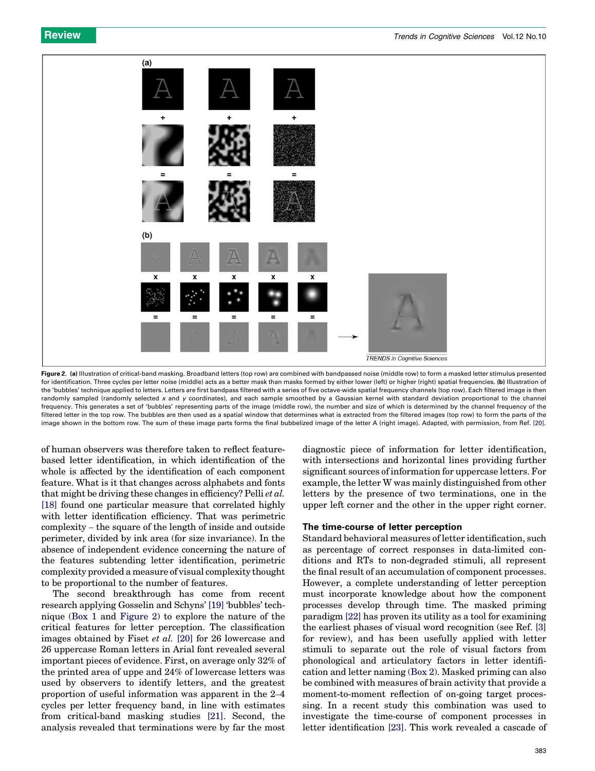<span id="page-2-0"></span>

Figure 2. (a) Illustration of critical-band masking. Broadband letters (top row) are combined with bandpassed noise (middle row) to form a masked letter stimulus presented for identification. Three cycles per letter noise (middle) acts as a better mask than masks formed by either lower (left) or higher (right) spatial frequencies. (b) Illustration of the 'bubbles' technique applied to letters. Letters are first bandpass filtered with a series of five octave-wide spatial frequency channels (top row). Each filtered image is then randomly sampled (randomly selected x and y coordinates), and each sample smoothed by a Gaussian kernel with standard deviation proportional to the channel frequency. This generates a set of 'bubbles' representing parts of the image (middle row), the number and size of which is determined by the channel frequency of the filtered letter in the top row. The bubbles are then used as a spatial window that determines what is extracted from the filtered images (top row) to form the parts of the image shown in the bottom row. The sum of these image parts forms the final bubbelized image of the letter A (right image). Adapted, with permission, from Ref. [\[20\]](#page-5-0).

of human observers was therefore taken to reflect featurebased letter identification, in which identification of the whole is affected by the identification of each component feature. What is it that changes across alphabets and fonts that might be driving these changes in efficiency? Pelli et al. [\[18\]](#page-5-0) found one particular measure that correlated highly with letter identification efficiency. That was perimetric complexity – the square of the length of inside and outside perimeter, divided by ink area (for size invariance). In the absence of independent evidence concerning the nature of the features subtending letter identification, perimetric complexity provided a measure of visual complexity thought to be proportional to the number of features.

The second breakthrough has come from recent research applying Gosselin and Schyns' [\[19\]](#page-5-0) 'bubbles' technique ([Box 1](#page-1-0) and Figure 2) to explore the nature of the critical features for letter perception. The classification images obtained by Fiset et al. [\[20\]](#page-5-0) for 26 lowercase and 26 uppercase Roman letters in Arial font revealed several important pieces of evidence. First, on average only 32% of the printed area of uppe and 24% of lowercase letters was used by observers to identify letters, and the greatest proportion of useful information was apparent in the 2–4 cycles per letter frequency band, in line with estimates from critical-band masking studies [\[21\].](#page-5-0) Second, the analysis revealed that terminations were by far the most

diagnostic piece of information for letter identification, with intersections and horizontal lines providing further significant sources of information for uppercase letters. For example, the letter W was mainly distinguished from other letters by the presence of two terminations, one in the upper left corner and the other in the upper right corner.

#### The time-course of letter perception

Standard behavioral measures of letter identification, such as percentage of correct responses in data-limited conditions and RTs to non-degraded stimuli, all represent the final result of an accumulation of component processes. However, a complete understanding of letter perception must incorporate knowledge about how the component processes develop through time. The masked priming paradigm [\[22\]](#page-5-0) has proven its utility as a tool for examining the earliest phases of visual word recognition (see Ref. [\[3\]](#page-5-0) for review), and has been usefully applied with letter stimuli to separate out the role of visual factors from phonological and articulatory factors in letter identification and letter naming [\(Box 2](#page-3-0)). Masked priming can also be combined with measures of brain activity that provide a moment-to-moment reflection of on-going target processing. In a recent study this combination was used to investigate the time-course of component processes in letter identification [\[23\]](#page-5-0). This work revealed a cascade of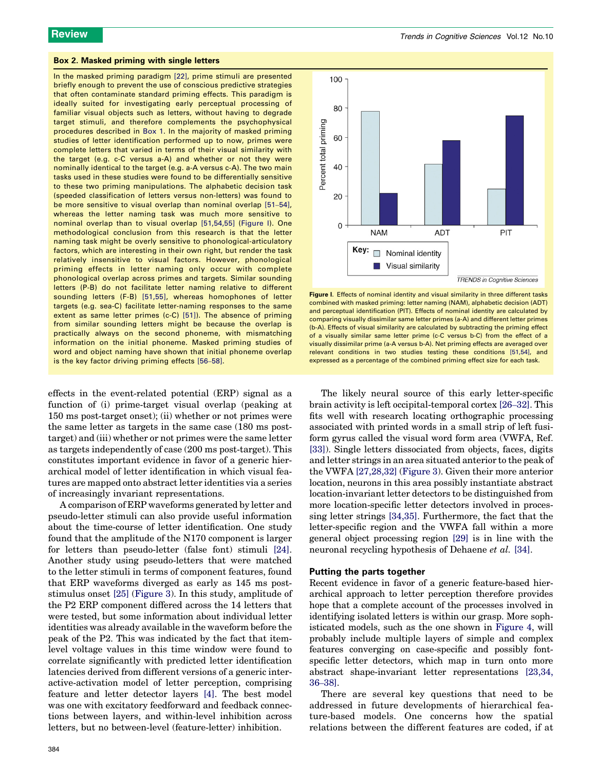#### <span id="page-3-0"></span>Box 2. Masked priming with single letters

In the masked priming paradigm [\[22\],](#page-5-0) prime stimuli are presented briefly enough to prevent the use of conscious predictive strategies that often contaminate standard priming effects. This paradigm is ideally suited for investigating early perceptual processing of familiar visual objects such as letters, without having to degrade target stimuli, and therefore complements the psychophysical procedures described in [Box 1](#page-1-0). In the majority of masked priming studies of letter identification performed up to now, primes were complete letters that varied in terms of their visual similarity with the target (e.g. c-C versus a-A) and whether or not they were nominally identical to the target (e.g. a-A versus c-A). The two main tasks used in these studies were found to be differentially sensitive to these two priming manipulations. The alphabetic decision task (speeded classification of letters versus non-letters) was found to be more sensitive to visual overlap than nominal overlap [51–[54\],](#page-6-0) whereas the letter naming task was much more sensitive to nominal overlap than to visual overlap [\[51,54,55\]](#page-6-0) (Figure I). One methodological conclusion from this research is that the letter naming task might be overly sensitive to phonological-articulatory factors, which are interesting in their own right, but render the task relatively insensitive to visual factors. However, phonological priming effects in letter naming only occur with complete phonological overlap across primes and targets. Similar sounding letters (P-B) do not facilitate letter naming relative to different sounding letters (F-B) [\[51,55\]](#page-6-0), whereas homophones of letter targets (e.g. sea-C) facilitate letter-naming responses to the same extent as same letter primes (c-C) [\[51\]\)](#page-6-0). The absence of priming from similar sounding letters might be because the overlap is practically always on the second phoneme, with mismatching information on the initial phoneme. Masked priming studies of word and object naming have shown that initial phoneme overlap is the key factor driving priming effects [56–[58\]](#page-6-0).

effects in the event-related potential (ERP) signal as a function of (i) prime-target visual overlap (peaking at 150 ms post-target onset); (ii) whether or not primes were the same letter as targets in the same case (180 ms posttarget) and (iii) whether or not primes were the same letter as targets independently of case (200 ms post-target). This constitutes important evidence in favor of a generic hierarchical model of letter identification in which visual features are mapped onto abstract letter identities via a series of increasingly invariant representations.

A comparison of ERP waveforms generated by letter and pseudo-letter stimuli can also provide useful information about the time-course of letter identification. One study found that the amplitude of the N170 component is larger for letters than pseudo-letter (false font) stimuli [\[24\]](#page-5-0). Another study using pseudo-letters that were matched to the letter stimuli in terms of component features, found that ERP waveforms diverged as early as 145 ms poststimulus onset [\[25\]](#page-5-0) ([Figure 3\)](#page-4-0). In this study, amplitude of the P2 ERP component differed across the 14 letters that were tested, but some information about individual letter identities was already available in the waveform before the peak of the P2. This was indicated by the fact that itemlevel voltage values in this time window were found to correlate significantly with predicted letter identification latencies derived from different versions of a generic interactive-activation model of letter perception, comprising feature and letter detector layers [\[4\].](#page-5-0) The best model was one with excitatory feedforward and feedback connections between layers, and within-level inhibition across letters, but no between-level (feature-letter) inhibition.



Figure I. Effects of nominal identity and visual similarity in three different tasks combined with masked priming: letter naming (NAM), alphabetic decision (ADT) and perceptual identification (PIT). Effects of nominal identity are calculated by comparing visually dissimilar same letter primes (a-A) and different letter primes (b-A). Effects of visual similarity are calculated by subtracting the priming effect of a visually similar same letter prime (c-C versus b-C) from the effect of a visually dissimilar prime (a-A versus b-A). Net priming effects are averaged over relevant conditions in two studies testing these conditions [\[51,54\]](#page-6-0), and expressed as a percentage of the combined priming effect size for each task.

The likely neural source of this early letter-specific brain activity is left occipital-temporal cortex [26–[32\].](#page-5-0) This fits well with research locating orthographic processing associated with printed words in a small strip of left fusiform gyrus called the visual word form area (VWFA, Ref. [\[33\]](#page-5-0)). Single letters dissociated from objects, faces, digits and letter strings in an area situated anterior to the peak of the VWFA [\[27,28,32\]](#page-5-0) [\(Figure 3\)](#page-4-0). Given their more anterior location, neurons in this area possibly instantiate abstract location-invariant letter detectors to be distinguished from more location-specific letter detectors involved in processing letter strings [\[34,35\].](#page-5-0) Furthermore, the fact that the letter-specific region and the VWFA fall within a more general object processing region [\[29\]](#page-5-0) is in line with the neuronal recycling hypothesis of Dehaene *et al.* [\[34\].](#page-5-0)

#### Putting the parts together

Recent evidence in favor of a generic feature-based hierarchical approach to letter perception therefore provides hope that a complete account of the processes involved in identifying isolated letters is within our grasp. More sophisticated models, such as the one shown in [Figure 4,](#page-4-0) will probably include multiple layers of simple and complex features converging on case-specific and possibly fontspecific letter detectors, which map in turn onto more abstract shape-invariant letter representations [\[23,34,](#page-5-0) 36–[38\].](#page-5-0)

There are several key questions that need to be addressed in future developments of hierarchical feature-based models. One concerns how the spatial relations between the different features are coded, if at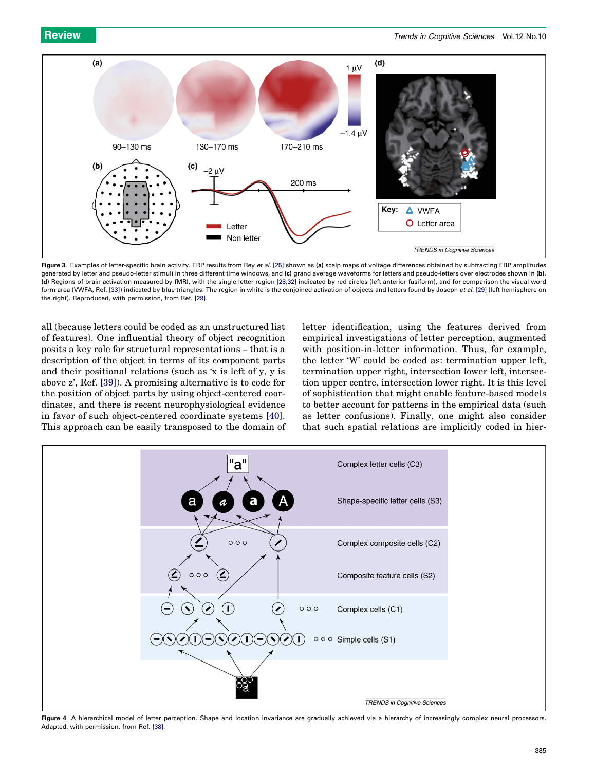<span id="page-4-0"></span>

Figure 3. Examples of letter-specific brain activity. ERP results from Rey et al. [\[25\]](#page-5-0) shown as (a) scalp maps of voltage differences obtained by subtracting ERP amplitudes generated by letter and pseudo-letter stimuli in three different time windows, and (c) grand average waveforms for letters and pseudo-letters over electrodes shown in (b). (d) Regions of brain activation measured by fMRI, with the single letter region [\[28,32\]](#page-5-0) indicated by red circles (left anterior fusiform), and for comparison the visual word form area (VWFA, Ref. [\[33\]\)](#page-5-0) indicated by blue triangles. The region in white is the conjoined activation of objects and letters found by Joseph et al. [\[29\]](#page-5-0) (left hemisphere on the right). Reproduced, with permission, from Ref. [\[29\].](#page-5-0)

all (because letters could be coded as an unstructured list of features). One influential theory of object recognition posits a key role for structural representations – that is a description of the object in terms of its component parts and their positional relations (such as 'x is left of y, y is above z', Ref. [\[39\]](#page-6-0)). A promising alternative is to code for the position of object parts by using object-centered coordinates, and there is recent neurophysiological evidence in favor of such object-centered coordinate systems [\[40\]](#page-6-0). This approach can be easily transposed to the domain of letter identification, using the features derived from empirical investigations of letter perception, augmented with position-in-letter information. Thus, for example, the letter 'W' could be coded as: termination upper left, termination upper right, intersection lower left, intersection upper centre, intersection lower right. It is this level of sophistication that might enable feature-based models to better account for patterns in the empirical data (such as letter confusions). Finally, one might also consider that such spatial relations are implicitly coded in hier-



Figure 4. A hierarchical model of letter perception. Shape and location invariance are gradually achieved via a hierarchy of increasingly complex neural processors. Adapted, with permission, from Ref. [\[38\]](#page-6-0).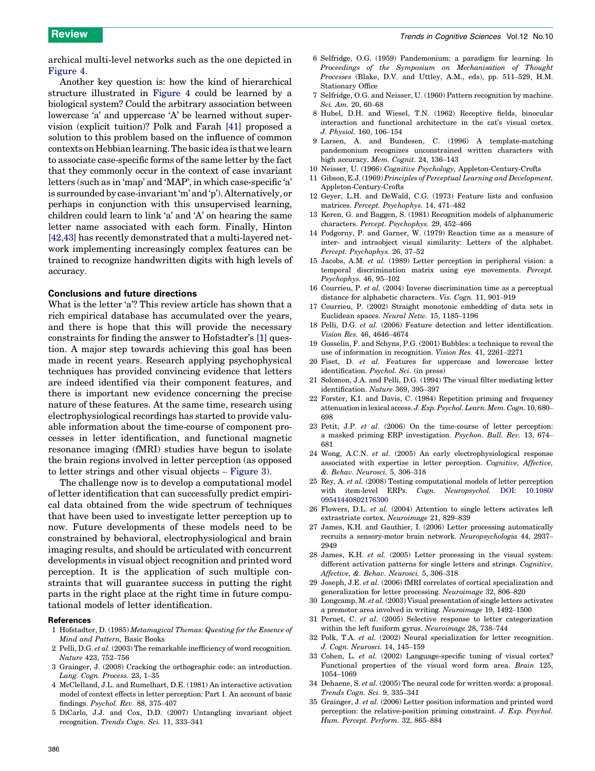<span id="page-5-0"></span>archical multi-level networks such as the one depicted in [Figure 4.](#page-4-0)

Another key question is: how the kind of hierarchical structure illustrated in [Figure 4](#page-4-0) could be learned by a biological system? Could the arbitrary association between lowercase 'a' and uppercase 'A' be learned without supervision (explicit tuition)? Polk and Farah [\[41\]](#page-6-0) proposed a solution to this problem based on the influence of common contexts onHebbian learning. The basic idea is that we learn to associate case-specific forms of the same letter by the fact that they commonly occur in the context of case invariant letters (such as in 'map' and 'MAP', in which case-specific 'a' is surrounded by case-invariant 'm' and 'p'). Alternatively, or perhaps in conjunction with this unsupervised learning, children could learn to link 'a' and 'A' on hearing the same letter name associated with each form. Finally, Hinton [\[42,43\]](#page-6-0) has recently demonstrated that a multi-layered network implementing increasingly complex features can be trained to recognize handwritten digits with high levels of accuracy.

#### Conclusions and future directions

What is the letter 'a'? This review article has shown that a rich empirical database has accumulated over the years, and there is hope that this will provide the necessary constraints for finding the answer to Hofstadter's [1] question. A major step towards achieving this goal has been made in recent years. Research applying psychophysical techniques has provided convincing evidence that letters are indeed identified via their component features, and there is important new evidence concerning the precise nature of these features. At the same time, research using electrophysiological recordings has started to provide valuable information about the time-course of component processes in letter identification, and functional magnetic resonance imaging (fMRI) studies have begun to isolate the brain regions involved in letter perception (as opposed to letter strings and other visual objects – [Figure 3](#page-4-0)).

The challenge now is to develop a computational model of letter identification that can successfully predict empirical data obtained from the wide spectrum of techniques that have been used to investigate letter perception up to now. Future developments of these models need to be constrained by behavioral, electrophysiological and brain imaging results, and should be articulated with concurrent developments in visual object recognition and printed word perception. It is the application of such multiple constraints that will guarantee success in putting the right parts in the right place at the right time in future computational models of letter identification.

#### References

- 1 Hofstadter, D. (1985) Metamagical Themas: Questing for the Essence of Mind and Pattern, Basic Books
- 2 Pelli, D.G. et al. (2003) The remarkable inefficiency of word recognition. Nature 423, 752–756
- 3 Grainger, J. (2008) Cracking the orthographic code: an introduction. Lang. Cogn. Process. 23, 1–35
- 4 McClelland, J.L. and Rumelhart, D.E. (1981) An interactive activation model of context effects in letter perception: Part 1. An account of basic findings. Psychol. Rev. 88, 375–407
- 5 DiCarlo, J.J. and Cox, D.D. (2007) Untangling invariant object recognition. Trends Cogn. Sci. 11, 333–341
- 6 Selfridge, O.G. (1959) Pandemonium: a paradigm for learning. In Proceedings of the Symposium on Mechanisation of Thought Processes (Blake, D.V. and Uttley, A.M., eds), pp. 511–529, H.M. Stationary Office
- 7 Selfridge, O.G. and Neisser, U. (1960) Pattern recognition by machine. Sci. Am. 20, 60–68
- 8 Hubel, D.H. and Wiesel, T.N. (1962) Receptive fields, binocular interaction and functional architecture in the cat's visual cortex. J. Physiol. 160, 106–154
- 9 Larsen, A. and Bundesen, C. (1996) A template-matching pandemonium recognizes unconstrained written characters with high accuracy. Mem. Cognit. 24, 136-143
- 10 Neisser, U. (1966) Cognitive Psychology, Appleton-Century-Crofts
- 11 Gibson, E.J. (1969) Principles of Perceptual Learning and Development, Appleton-Century-Crofts
- 12 Geyer, L.H. and DeWald, C.G. (1973) Feature lists and confusion matrices. Percept. Psychophys. 14, 471–482
- 13 Keren, G. and Baggen, S. (1981) Recognition models of alphanumeric characters. Percept. Psychophys. 29, 452–466
- 14 Podgorny, P. and Garner, W. (1979) Reaction time as a measure of inter- and intraobject visual similarity: Letters of the alphabet. Percept. Psychophys. 26, 37–52
- 15 Jacobs, A.M. et al. (1989) Letter perception in peripheral vision: a temporal discrimination matrix using eye movements. Percept. Psychophys. 46, 95–102
- 16 Courrieu, P. et al. (2004) Inverse discrimination time as a perceptual distance for alphabetic characters. Vis. Cogn. 11, 901–919
- 17 Courrieu, P. (2002) Straight monotonic embedding of data sets in Euclidean spaces. Neural Netw. 15, 1185–1196
- 18 Pelli, D.G. et al. (2006) Feature detection and letter identification. Vision Res. 46, 4646–4674
- 19 Gosselin, F. and Schyns, P.G. (2001) Bubbles: a technique to reveal the use of information in recognition. Vision Res. 41, 2261–2271
- 20 Fiset, D. et al. Features for uppercase and lowercase letter identification. Psychol. Sci. (in press)
- 21 Solomon, J.A. and Pelli, D.G. (1994) The visual filter mediating letter identification. Nature 369, 395–397
- 22 Forster, K.I. and Davis, C. (1984) Repetition priming and frequency attenuation in lexical access. J. Exp. Psychol. Learn. Mem. Cogn. 10, 680-698
- 23 Petit, J.P. et al. (2006) On the time-course of letter perception: a masked priming ERP investigation. Psychon. Bull. Rev. 13, 674– 681
- 24 Wong, A.C.N. et al. (2005) An early electrophysiological response associated with expertise in letter perception. Cognitive, Affective, &. Behav. Neurosci. 5, 306–318
- 25 Rey, A. et al. (2008) Testing computational models of letter perception with item-level ERPs. Cogn. Neuropsychol. [DOI: 10.1080/](http://dx.doi.org/10.1080/09541440802176300) [09541440802176300](http://dx.doi.org/10.1080/09541440802176300)
- 26 Flowers, D.L. et al. (2004) Attention to single letters activates left extrastriate cortex. Neuroimage 21, 829–839
- 27 James, K.H. and Gauthier, I. (2006) Letter processing automatically recruits a sensory-motor brain network. Neuropsychologia 44, 2937– 2949
- 28 James, K.H. et al. (2005) Letter processing in the visual system: different activation patterns for single letters and strings. Cognitive, Affective, &. Behav. Neurosci. 5, 306–318
- 29 Joseph, J.E. et al. (2006) fMRI correlates of cortical specialization and generalization for letter processing. Neuroimage 32, 806–820
- 30 Longcamp, M. et al. (2003) Visual presentation of single letters activates a premotor area involved in writing. Neuroimage 19, 1492–1500
- 31 Pernet, C. et al. (2005) Selective response to letter categorization within the left fusiform gyrus. Neuroimage 28, 738–744
- 32 Polk, T.A. et al. (2002) Neural specialization for letter recognition. J. Cogn. Neurosci. 14, 145–159
- 33 Cohen, L. et al. (2002) Language-specific tuning of visual cortex? Functional properties of the visual word form area. Brain 125, 1054–1069
- 34 Dehaene, S. et al. (2005) The neural code for written words: a proposal. Trends Cogn. Sci. 9, 335–341
- 35 Grainger, J. et al. (2006) Letter position information and printed word perception: the relative-position priming constraint. J. Exp. Psychol. Hum. Percept. Perform. 32, 865–884